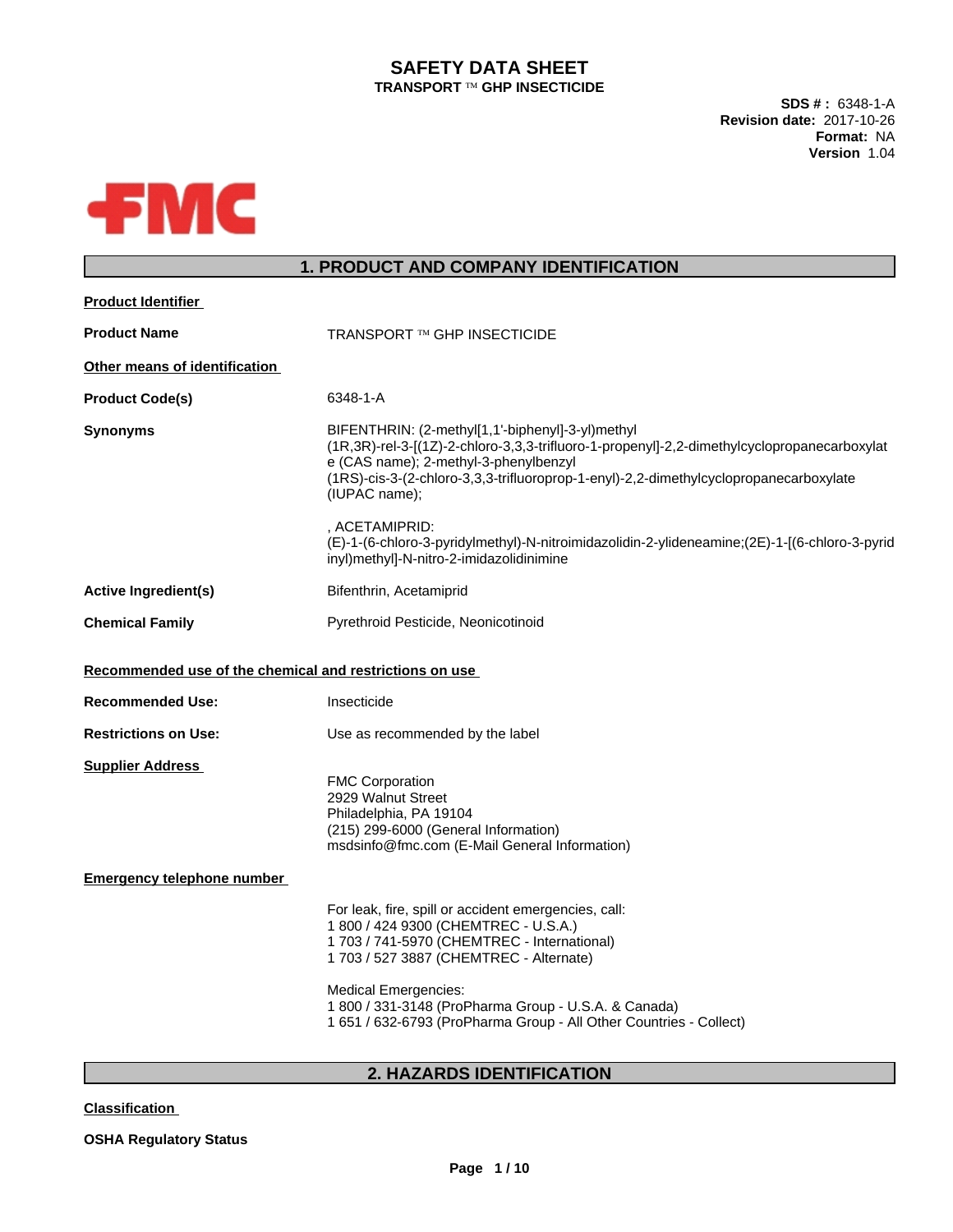## **SAFETY DATA SHEET TRANSPORT <b>TM** GHP INSECTICIDE

**SDS # :** 6348-1-A **Revision date:** 2017-10-26 **Format:** NA **Version** 1.04



# **1. PRODUCT AND COMPANY IDENTIFICATION**

| <b>Product Identifier</b>                               |                                                                                                                                                                                                                                                                                                                                                     |
|---------------------------------------------------------|-----------------------------------------------------------------------------------------------------------------------------------------------------------------------------------------------------------------------------------------------------------------------------------------------------------------------------------------------------|
| <b>Product Name</b>                                     | TRANSPORT ™ GHP INSECTICIDE                                                                                                                                                                                                                                                                                                                         |
| Other means of identification                           |                                                                                                                                                                                                                                                                                                                                                     |
| <b>Product Code(s)</b>                                  | 6348-1-A                                                                                                                                                                                                                                                                                                                                            |
| <b>Synonyms</b>                                         | BIFENTHRIN: (2-methyl[1,1'-biphenyl]-3-yl)methyl<br>(1R,3R)-rel-3-[(1Z)-2-chloro-3,3,3-trifluoro-1-propenyl]-2,2-dimethylcyclopropanecarboxylat<br>e (CAS name); 2-methyl-3-phenylbenzyl<br>(1RS)-cis-3-(2-chloro-3,3,3-trifluoroprop-1-enyl)-2,2-dimethylcyclopropanecarboxylate<br>(IUPAC name);                                                  |
|                                                         | , ACETAMIPRID:<br>(E)-1-(6-chloro-3-pyridylmethyl)-N-nitroimidazolidin-2-ylideneamine;(2E)-1-[(6-chloro-3-pyrid<br>inyl)methyl]-N-nitro-2-imidazolidinimine                                                                                                                                                                                         |
| <b>Active Ingredient(s)</b>                             | Bifenthrin, Acetamiprid                                                                                                                                                                                                                                                                                                                             |
| <b>Chemical Family</b>                                  | Pyrethroid Pesticide, Neonicotinoid                                                                                                                                                                                                                                                                                                                 |
| Recommended use of the chemical and restrictions on use |                                                                                                                                                                                                                                                                                                                                                     |
| <b>Recommended Use:</b>                                 | Insecticide                                                                                                                                                                                                                                                                                                                                         |
| <b>Restrictions on Use:</b>                             | Use as recommended by the label                                                                                                                                                                                                                                                                                                                     |
| <b>Supplier Address</b>                                 | <b>FMC Corporation</b><br>2929 Walnut Street<br>Philadelphia, PA 19104<br>(215) 299-6000 (General Information)<br>msdsinfo@fmc.com (E-Mail General Information)                                                                                                                                                                                     |
| <b>Emergency telephone number</b>                       |                                                                                                                                                                                                                                                                                                                                                     |
|                                                         | For leak, fire, spill or accident emergencies, call:<br>1 800 / 424 9300 (CHEMTREC - U.S.A.)<br>1 703 / 741-5970 (CHEMTREC - International)<br>1 703 / 527 3887 (CHEMTREC - Alternate)<br><b>Medical Emergencies:</b><br>1 800 / 331-3148 (ProPharma Group - U.S.A. & Canada)<br>1 651 / 632-6793 (ProPharma Group - All Other Countries - Collect) |
|                                                         |                                                                                                                                                                                                                                                                                                                                                     |

# **2. HAZARDS IDENTIFICATION**

**Classification**

**OSHA Regulatory Status**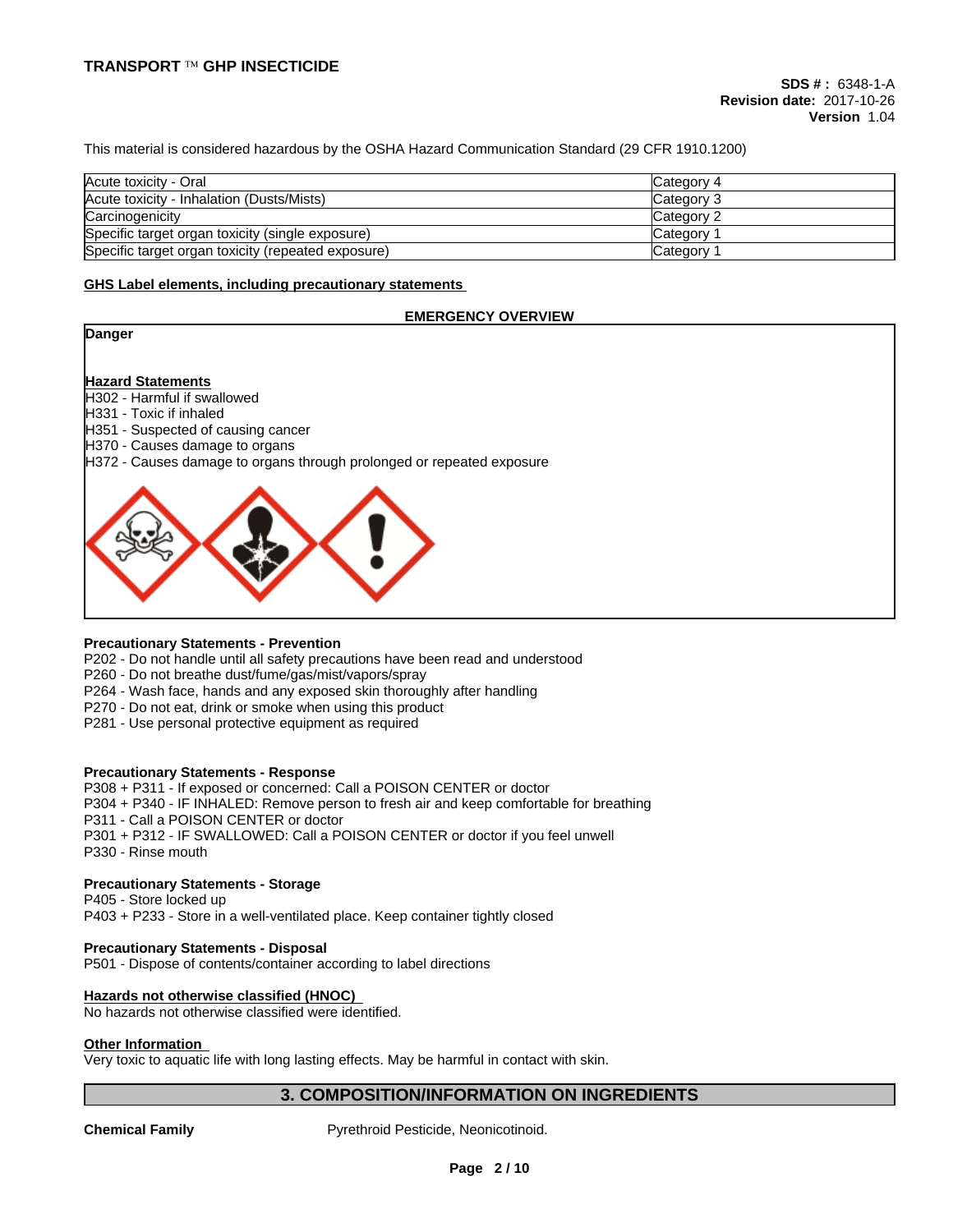This material is considered hazardous by the OSHA Hazard Communication Standard (29 CFR 1910.1200)

| Acute toxicity - Oral                              | Category 4         |
|----------------------------------------------------|--------------------|
| Acute toxicity - Inhalation (Dusts/Mists)          | Category 3         |
| Carcinogenicity                                    | Category 2         |
| Specific target organ toxicity (single exposure)   | <b>ICategory 1</b> |
| Specific target organ toxicity (repeated exposure) | Category 1         |

#### **GHS Label elements, including precautionary statements**

#### **EMERGENCY OVERVIEW**



#### **Precautionary Statements - Prevention**

P202 - Do not handle until all safety precautions have been read and understood

P260 - Do not breathe dust/fume/gas/mist/vapors/spray

P264 - Wash face, hands and any exposed skin thoroughly after handling

P270 - Do not eat, drink or smoke when using this product

P281 - Use personal protective equipment as required

#### **Precautionary Statements - Response**

P308 + P311 - If exposed or concerned: Call a POISON CENTER or doctor P304 + P340 - IF INHALED: Remove person to fresh air and keep comfortable for breathing P311 - Call a POISON CENTER or doctor P301 + P312 - IF SWALLOWED: Call a POISON CENTER or doctor if you feel unwell P330 - Rinse mouth

### **Precautionary Statements - Storage**

P405 - Store locked up P403 + P233 - Store in a well-ventilated place. Keep container tightly closed

**Precautionary Statements - Disposal** P501 - Dispose of contents/container according to label directions

#### **Hazards not otherwise classified (HNOC)**

No hazards not otherwise classified were identified.

## **Other Information**

Very toxic to aquatic life with long lasting effects. May be harmful in contact with skin.

## **3. COMPOSITION/INFORMATION ON INGREDIENTS**

**Chemical Family** Pyrethroid Pesticide, Neonicotinoid.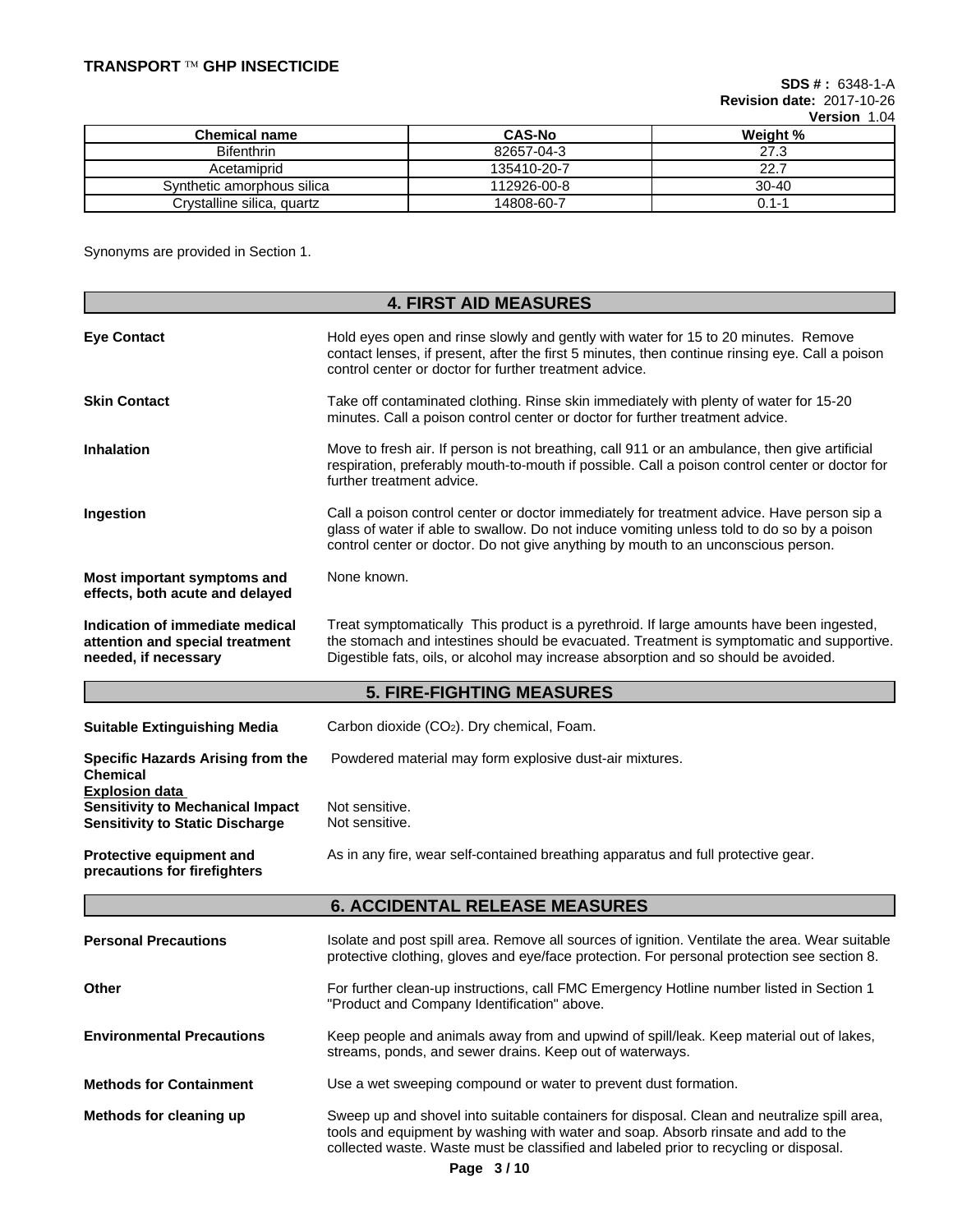**SDS # :** 6348-1-A **Revision date:** 2017-10-26 **Version** 1.04

|                            |               | 1 YI YIYII 1.V |
|----------------------------|---------------|----------------|
| Chemical name              | <b>CAS-No</b> | Weight %       |
| <b>Bifenthrin</b>          | 82657-04-3    | 27.3           |
| Acetamiprid                | 135410-20-7   | 22.7           |
| Synthetic amorphous silica | 112926-00-8   | $30 - 40$      |
| Crystalline silica, quartz | 14808-60-7    | 0.1-1          |

Synonyms are provided in Section 1.

|                                                                                                            | <b>4. FIRST AID MEASURES</b>                                                                                                                                                                                                                                                  |  |  |  |
|------------------------------------------------------------------------------------------------------------|-------------------------------------------------------------------------------------------------------------------------------------------------------------------------------------------------------------------------------------------------------------------------------|--|--|--|
| <b>Eye Contact</b>                                                                                         | Hold eyes open and rinse slowly and gently with water for 15 to 20 minutes. Remove<br>contact lenses, if present, after the first 5 minutes, then continue rinsing eye. Call a poison<br>control center or doctor for further treatment advice.                               |  |  |  |
| <b>Skin Contact</b>                                                                                        | Take off contaminated clothing. Rinse skin immediately with plenty of water for 15-20<br>minutes. Call a poison control center or doctor for further treatment advice.                                                                                                        |  |  |  |
| <b>Inhalation</b>                                                                                          | Move to fresh air. If person is not breathing, call 911 or an ambulance, then give artificial<br>respiration, preferably mouth-to-mouth if possible. Call a poison control center or doctor for<br>further treatment advice.                                                  |  |  |  |
| Ingestion                                                                                                  | Call a poison control center or doctor immediately for treatment advice. Have person sip a<br>glass of water if able to swallow. Do not induce vomiting unless told to do so by a poison<br>control center or doctor. Do not give anything by mouth to an unconscious person. |  |  |  |
| Most important symptoms and<br>effects, both acute and delayed                                             | None known.                                                                                                                                                                                                                                                                   |  |  |  |
| Indication of immediate medical<br>attention and special treatment<br>needed, if necessary                 | Treat symptomatically This product is a pyrethroid. If large amounts have been ingested,<br>the stomach and intestines should be evacuated. Treatment is symptomatic and supportive.<br>Digestible fats, oils, or alcohol may increase absorption and so should be avoided.   |  |  |  |
|                                                                                                            | <b>5. FIRE-FIGHTING MEASURES</b>                                                                                                                                                                                                                                              |  |  |  |
| <b>Suitable Extinguishing Media</b>                                                                        | Carbon dioxide (CO2). Dry chemical, Foam.                                                                                                                                                                                                                                     |  |  |  |
| <b>Specific Hazards Arising from the</b><br><b>Chemical</b>                                                | Powdered material may form explosive dust-air mixtures.                                                                                                                                                                                                                       |  |  |  |
| <b>Explosion data</b><br><b>Sensitivity to Mechanical Impact</b><br><b>Sensitivity to Static Discharge</b> | Not sensitive.<br>Not sensitive.                                                                                                                                                                                                                                              |  |  |  |
| Protective equipment and<br>precautions for firefighters                                                   | As in any fire, wear self-contained breathing apparatus and full protective gear.                                                                                                                                                                                             |  |  |  |
|                                                                                                            | <b>6. ACCIDENTAL RELEASE MEASURES</b>                                                                                                                                                                                                                                         |  |  |  |
| <b>Personal Precautions</b>                                                                                | Isolate and post spill area. Remove all sources of ignition. Ventilate the area. Wear suitable<br>protective clothing, gloves and eye/face protection. For personal protection see section 8.                                                                                 |  |  |  |
| Other                                                                                                      | For further clean-up instructions, call FMC Emergency Hotline number listed in Section 1<br>"Product and Company Identification" above.                                                                                                                                       |  |  |  |
| <b>Environmental Precautions</b>                                                                           | Keep people and animals away from and upwind of spill/leak. Keep material out of lakes,<br>streams, ponds, and sewer drains. Keep out of waterways.                                                                                                                           |  |  |  |
| <b>Methods for Containment</b>                                                                             | Use a wet sweeping compound or water to prevent dust formation.                                                                                                                                                                                                               |  |  |  |
| Methods for cleaning up                                                                                    | Sweep up and shovel into suitable containers for disposal. Clean and neutralize spill area,<br>tools and equipment by washing with water and soap. Absorb rinsate and add to the<br>collected waste. Waste must be classified and labeled prior to recycling or disposal.     |  |  |  |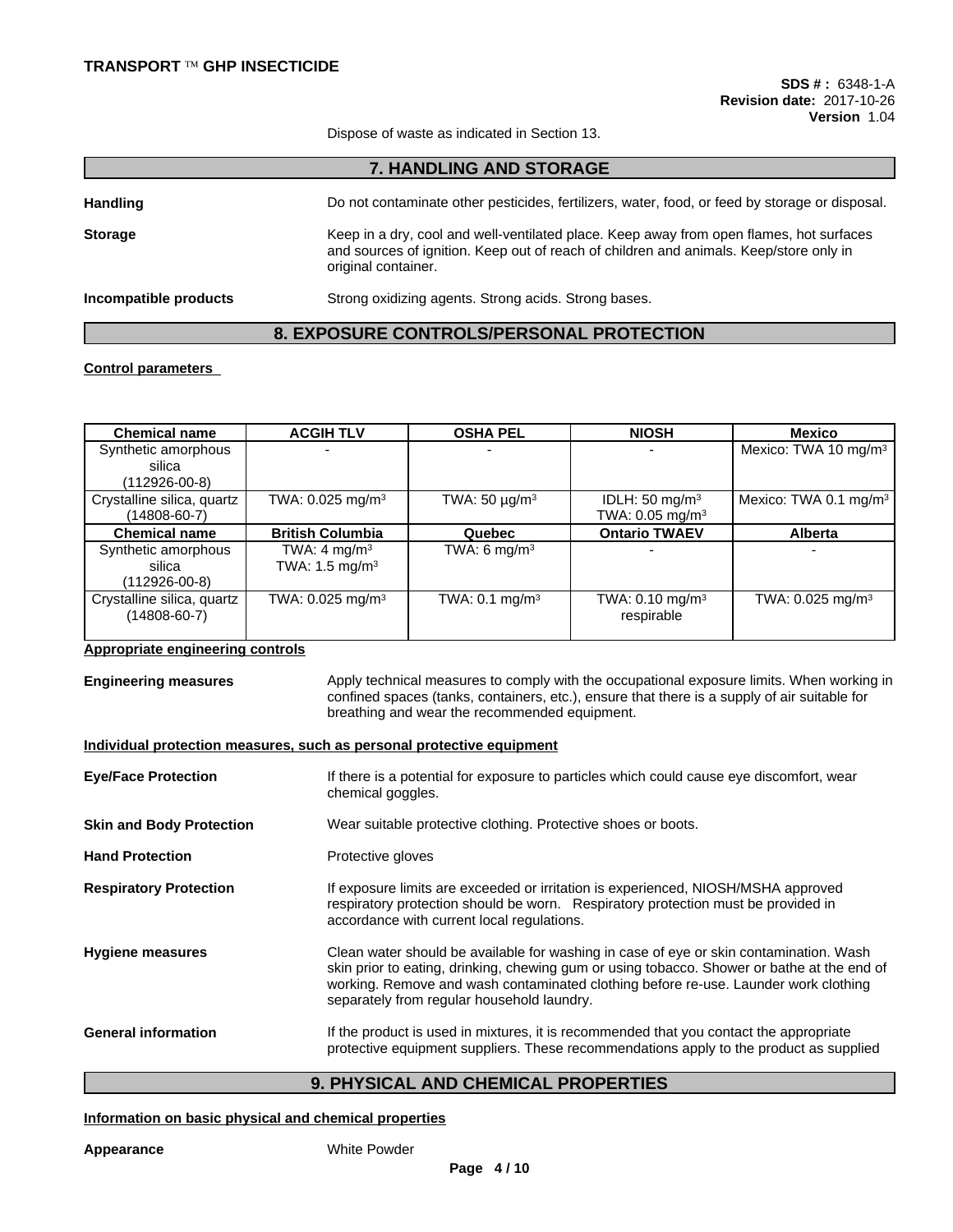Dispose of waste as indicated in Section 13.

**7. HANDLING AND STORAGE**

Handling **Handling Do not contaminate other pesticides**, fertilizers, water, food, or feed by storage or disposal. **Storage** Keep in a dry, cool and well-ventilated place. Keep away from open flames, hot surfaces and sources of ignition. Keep out of reach of children and animals. Keep/store only in original container. **Incompatible products** Strong oxidizing agents. Strong acids. Strong bases.

## **8. EXPOSURE CONTROLS/PERSONAL PROTECTION**

#### **Control parameters**

| <b>Chemical name</b>       | <b>ACGIH TLV</b>             | <b>OSHA PEL</b>           | <b>NIOSH</b>                  | Mexico                            |
|----------------------------|------------------------------|---------------------------|-------------------------------|-----------------------------------|
| Synthetic amorphous        |                              |                           | $\overline{\phantom{a}}$      | Mexico: TWA 10 mg/m <sup>3</sup>  |
| silica                     |                              |                           |                               |                                   |
| $(112926-00-8)$            |                              |                           |                               |                                   |
| Crystalline silica, quartz | TWA: 0.025 mg/m <sup>3</sup> | TWA: $50 \mu g/m^3$       | IDLH: $50 \text{ mg/m}^3$     | Mexico: TWA 0.1 mg/m <sup>3</sup> |
| (14808-60-7)               |                              |                           | TWA: $0.05$ mg/m <sup>3</sup> |                                   |
| <b>Chemical name</b>       | <b>British Columbia</b>      | Quebec                    | <b>Ontario TWAEV</b>          | <b>Alberta</b>                    |
| Synthetic amorphous        | TWA: $4 \text{ mg/m}^3$      | TWA: 6 $mq/m3$            |                               |                                   |
| silica                     | TWA: 1.5 mg/m <sup>3</sup>   |                           |                               |                                   |
| $(112926 - 00 - 8)$        |                              |                           |                               |                                   |
| Crystalline silica, quartz | TWA: 0.025 mg/m <sup>3</sup> | TWA: $0.1 \text{ mg/m}^3$ | TWA: $0.10$ mg/m <sup>3</sup> | TWA: 0.025 mg/m <sup>3</sup>      |
| (14808-60-7)               |                              |                           | respirable                    |                                   |
|                            |                              |                           |                               |                                   |

## **Appropriate engineering controls**

**Engineering measures** Apply technical measures to comply with the occupational exposure limits. When working in confined spaces (tanks, containers, etc.), ensure that there is a supply of air suitable for breathing and wear the recommended equipment.

#### **Individual protection measures, such as personal protective equipment**

| <b>Eye/Face Protection</b>      | If there is a potential for exposure to particles which could cause eye discomfort, wear<br>chemical goggles.                                                                                                                                                                                                              |
|---------------------------------|----------------------------------------------------------------------------------------------------------------------------------------------------------------------------------------------------------------------------------------------------------------------------------------------------------------------------|
| <b>Skin and Body Protection</b> | Wear suitable protective clothing. Protective shoes or boots.                                                                                                                                                                                                                                                              |
| <b>Hand Protection</b>          | Protective gloves                                                                                                                                                                                                                                                                                                          |
| <b>Respiratory Protection</b>   | If exposure limits are exceeded or irritation is experienced, NIOSH/MSHA approved<br>respiratory protection should be worn. Respiratory protection must be provided in<br>accordance with current local regulations.                                                                                                       |
| <b>Hygiene measures</b>         | Clean water should be available for washing in case of eye or skin contamination. Wash<br>skin prior to eating, drinking, chewing gum or using tobacco. Shower or bathe at the end of<br>working. Remove and wash contaminated clothing before re-use. Launder work clothing<br>separately from regular household laundry. |
| <b>General information</b>      | If the product is used in mixtures, it is recommended that you contact the appropriate<br>protective equipment suppliers. These recommendations apply to the product as supplied                                                                                                                                           |

## **9. PHYSICAL AND CHEMICAL PROPERTIES**

#### **Information on basic physical and chemical properties**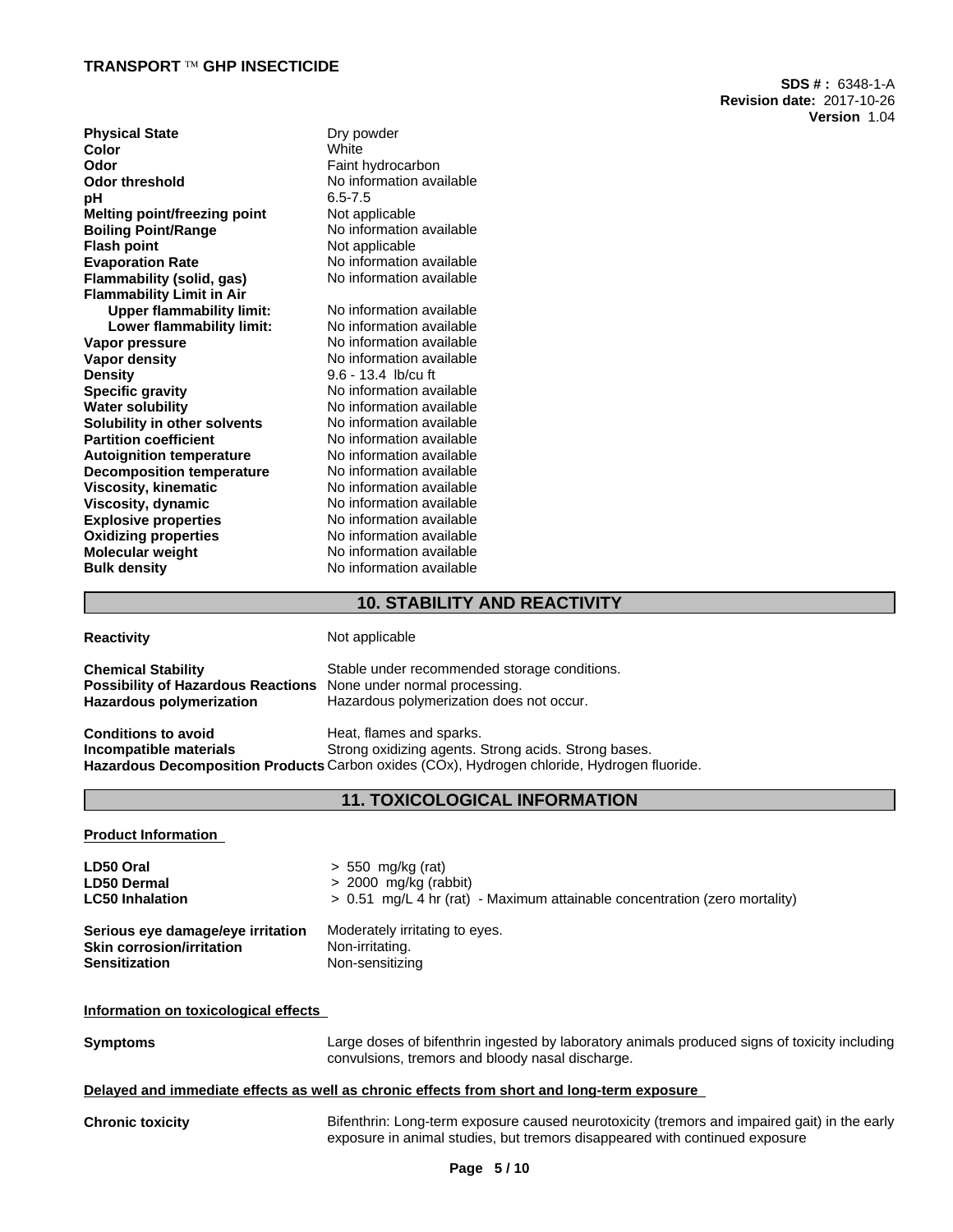**SDS # :** 6348-1-A **Revision date:** 2017-10-26 **Version** 1.04

| <b>Physical State</b>            | Dry powder               |
|----------------------------------|--------------------------|
| Color                            | White                    |
| Odor                             | Faint hydrocarbon        |
| Odor threshold                   | No information available |
| pН                               | $6.5 - 7.5$              |
| Melting point/freezing point     | Not applicable           |
| <b>Boiling Point/Range</b>       | No information available |
| Flash point                      | Not applicable           |
| <b>Evaporation Rate</b>          | No information available |
| Flammability (solid, gas)        | No information available |
| <b>Flammability Limit in Air</b> |                          |
| <b>Upper flammability limit:</b> | No information available |
| Lower flammability limit:        | No information available |
| Vapor pressure                   | No information available |
| Vapor density                    | No information available |
| <b>Density</b>                   | $9.6 - 13.4$ lb/cu ft    |
| <b>Specific gravity</b>          | No information available |
| Water solubility                 | No information available |
| Solubility in other solvents     | No information available |
| <b>Partition coefficient</b>     | No information available |
| <b>Autoignition temperature</b>  | No information available |
| <b>Decomposition temperature</b> | No information available |
| <b>Viscosity, kinematic</b>      | No information available |
| Viscosity, dynamic               | No information available |
| <b>Explosive properties</b>      | No information available |
| <b>Oxidizing properties</b>      | No information available |
| Molecular weight                 | No information available |
| <b>Bulk density</b>              | No information available |
|                                  |                          |

## **10. STABILITY AND REACTIVITY**

**Reactivity** Not applicable

| <b>Chemical Stability</b>                                               | Stable under recommended storage conditions. |
|-------------------------------------------------------------------------|----------------------------------------------|
| <b>Possibility of Hazardous Reactions</b> None under normal processing. |                                              |
| Hazardous polymerization                                                | Hazardous polymerization does not occur.     |
|                                                                         |                                              |

**Conditions to avoid**<br> **Conditions to avoid a spart of the strong oxidizing agents.**<br>
Strong oxidizing agents. **Strong oxidizing agents. Strong acids. Strong bases. Hazardous Decomposition Products** Carbon oxides (COx), Hydrogen chloride, Hydrogen fluoride.

## **11. TOXICOLOGICAL INFORMATION**

**Product Information**

| LD50 Oral                         | $> 550$ mg/kg (rat)                                                          |
|-----------------------------------|------------------------------------------------------------------------------|
| <b>LD50 Dermal</b>                | $> 2000$ mg/kg (rabbit)                                                      |
| <b>LC50 Inhalation</b>            | $> 0.51$ mg/L 4 hr (rat) - Maximum attainable concentration (zero mortality) |
| Serious eye damage/eye irritation | Moderately irritating to eyes.                                               |
| <b>Skin corrosion/irritation</b>  | Non-irritating.                                                              |
| <b>Sensitization</b>              | Non-sensitizing                                                              |

### **Information on toxicological effects**

**Symptoms** Large doses of bifenthrin ingested by laboratory animals produced signs of toxicity including convulsions, tremors and bloody nasal discharge.

#### **Delayed and immediate effects as well as chronic effects from short and long-term exposure**

**Chronic toxicity** Bifenthrin: Long-term exposure caused neurotoxicity (tremors and impaired gait) in the early exposure in animal studies, but tremors disappeared with continued exposure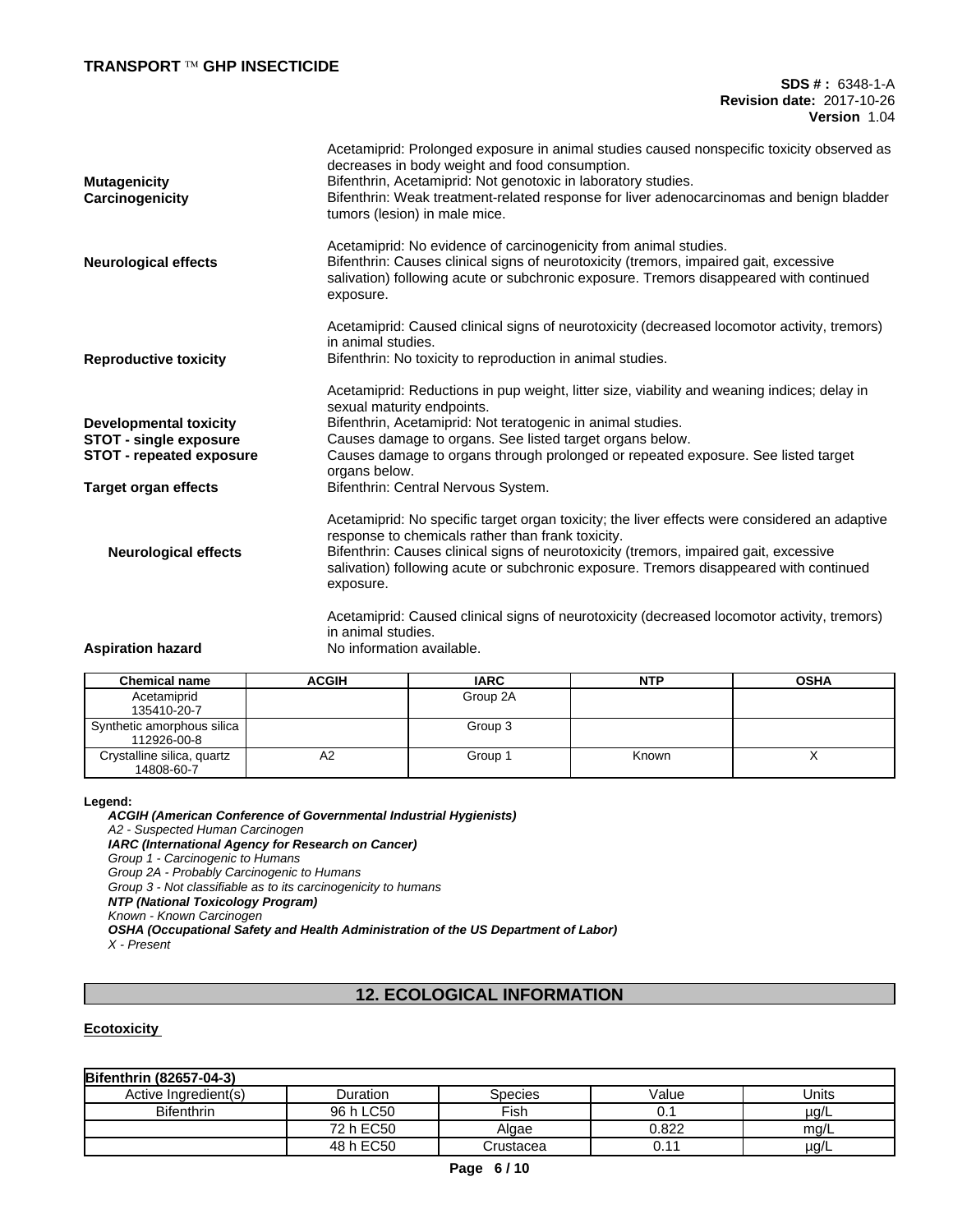## **TRANSPORT Ô GHP INSECTICIDE**

**SDS # :** 6348-1-A **Revision date:** 2017-10-26 **Version** 1.04

| <b>Mutagenicity</b><br>Carcinogenicity | Acetamiprid: Prolonged exposure in animal studies caused nonspecific toxicity observed as<br>decreases in body weight and food consumption.<br>Bifenthrin, Acetamiprid: Not genotoxic in laboratory studies.<br>Bifenthrin: Weak treatment-related response for liver adenocarcinomas and benign bladder<br>tumors (lesion) in male mice. |
|----------------------------------------|-------------------------------------------------------------------------------------------------------------------------------------------------------------------------------------------------------------------------------------------------------------------------------------------------------------------------------------------|
| <b>Neurological effects</b>            | Acetamiprid: No evidence of carcinogenicity from animal studies.<br>Bifenthrin: Causes clinical signs of neurotoxicity (tremors, impaired gait, excessive<br>salivation) following acute or subchronic exposure. Tremors disappeared with continued<br>exposure.                                                                          |
| <b>Reproductive toxicity</b>           | Acetamiprid: Caused clinical signs of neurotoxicity (decreased locomotor activity, tremors)<br>in animal studies.<br>Bifenthrin: No toxicity to reproduction in animal studies.                                                                                                                                                           |
|                                        | Acetamiprid: Reductions in pup weight, litter size, viability and weaning indices; delay in<br>sexual maturity endpoints.                                                                                                                                                                                                                 |
| <b>Developmental toxicity</b>          | Bifenthrin, Acetamiprid: Not teratogenic in animal studies.                                                                                                                                                                                                                                                                               |
| <b>STOT - single exposure</b>          | Causes damage to organs. See listed target organs below.                                                                                                                                                                                                                                                                                  |
| <b>STOT - repeated exposure</b>        | Causes damage to organs through prolonged or repeated exposure. See listed target<br>organs below.                                                                                                                                                                                                                                        |
| <b>Target organ effects</b>            | Bifenthrin: Central Nervous System.                                                                                                                                                                                                                                                                                                       |
|                                        | Acetamiprid: No specific target organ toxicity; the liver effects were considered an adaptive<br>response to chemicals rather than frank toxicity.                                                                                                                                                                                        |
| <b>Neurological effects</b>            | Bifenthrin: Causes clinical signs of neurotoxicity (tremors, impaired gait, excessive<br>salivation) following acute or subchronic exposure. Tremors disappeared with continued<br>exposure.                                                                                                                                              |
|                                        | Acetamiprid: Caused clinical signs of neurotoxicity (decreased locomotor activity, tremors)<br>in animal studies.                                                                                                                                                                                                                         |
| <b>Aspiration hazard</b>               | No information available.                                                                                                                                                                                                                                                                                                                 |

| <b>Chemical name</b>       | <b>ACGIH</b> | <b>IARC</b> | <b>NTP</b> | <b>OSHA</b> |
|----------------------------|--------------|-------------|------------|-------------|
| Acetamiprid                |              | Group 2A    |            |             |
| 135410-20-7                |              |             |            |             |
| Synthetic amorphous silica |              | Group 3     |            |             |
| 112926-00-8                |              |             |            |             |
| Crystalline silica, quartz | A2           | Group 1     | Known      |             |
| 14808-60-7                 |              |             |            |             |

#### **Legend:**

*ACGIH (American Conference of Governmental Industrial Hygienists) A2 - Suspected Human Carcinogen IARC (International Agency for Research on Cancer) Group 1 - Carcinogenic to Humans Group 2A - Probably Carcinogenic to Humans Group 3 - Not classifiable as to its carcinogenicity to humans NTP (National Toxicology Program) Known - Known Carcinogen OSHA (Occupational Safety and Health Administration of the US Department of Labor) X - Present*

# **12. ECOLOGICAL INFORMATION**

## **Ecotoxicity**

| <b>Bifenthrin (82657-04-3)</b> |           |                |       |           |
|--------------------------------|-----------|----------------|-------|-----------|
| Active Ingredient(s)           | Duration  | <b>Species</b> | Value | Units     |
| <b>Bifenthrin</b>              | 96 h LC50 | Fish           | U.    | $\mu$ g/L |
|                                | 72 h EC50 | Algae          | 0.822 | mg/L      |
|                                | 48 h EC50 | Crustacea      | 0.11  | µg/L      |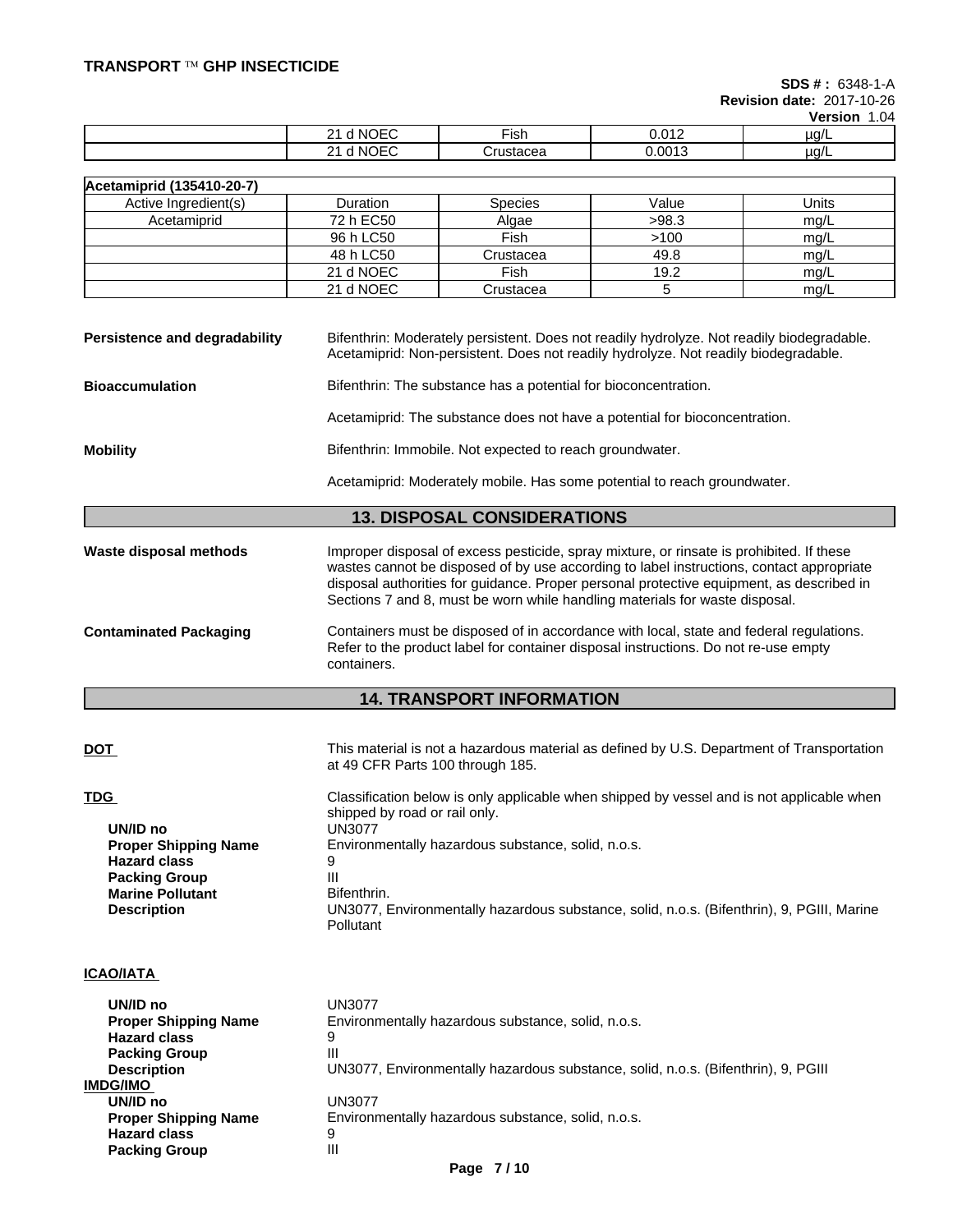**SDS # :** 6348-1-A

**Revision date:** 2017-10-26 **Version** 1.04

|                           |                    |                | <b>VEISIUIL</b><br>U <del>u</del> |
|---------------------------|--------------------|----------------|-----------------------------------|
| <b>NOEC</b><br>אוח ו<br>- | ∙ısr               | 040<br>0.V I 4 | ua/l                              |
| <b>NOEC</b><br>ri Ni<br>- | 1010000<br>isiaued | 0.0013         | ua/l                              |

| Acetamiprid (135410-20-7) |                 |                |       |       |
|---------------------------|-----------------|----------------|-------|-------|
| Active Ingredient(s)      | <b>Duration</b> | <b>Species</b> | Value | Units |
| Acetamiprid               | 72 h EC50       | Algae          | >98.3 | mg/L  |
|                           | 96 h LC50       | Fish           | >100  | mg/L  |
|                           | 48 h LC50       | Crustacea      | 49.8  | mg/L  |
|                           | 21 d NOEC       | Fish           | 19.2  | mq/L  |
|                           | 21 d NOEC       | Crustacea      |       | mg/L  |

| Persistence and degradability | Bifenthrin: Moderately persistent. Does not readily hydrolyze. Not readily biodegradable. |
|-------------------------------|-------------------------------------------------------------------------------------------|
|                               | Acetamiprid: Non-persistent. Does not readily hydrolyze. Not readily biodegradable.       |

**Bioaccumulation** Bifenthrin: The substance has a potential for bioconcentration.

Acetamiprid: The substance does not have a potential for bioconcentration.

**Mobility** Bifenthrin: Immobile. Not expected to reach groundwater.

Acetamiprid: Moderately mobile. Has some potential to reach groundwater.

## **13. DISPOSAL CONSIDERATIONS**

**Waste disposal methods** Improper disposal of excess pesticide, spray mixture, or rinsate is prohibited. If these wastes cannot be disposed of by use according to label instructions, contact appropriate disposal authorities for guidance. Proper personal protective equipment, as described in Sections 7 and 8, must be worn while handling materials for waste disposal.

**Contaminated Packaging** Containers must be disposed of in accordance with local, state and federal regulations. Refer to the product label for container disposal instructions. Do not re-use empty containers.

## **14. TRANSPORT INFORMATION**

| This material is not a hazardous material as defined by U.S. Department of Transportation<br>at 49 CFR Parts 100 through 185.        |
|--------------------------------------------------------------------------------------------------------------------------------------|
| Classification below is only applicable when shipped by vessel and is not applicable when<br>shipped by road or rail only.<br>UN3077 |
| Environmentally hazardous substance, solid, n.o.s.                                                                                   |
| 9                                                                                                                                    |
| Ш                                                                                                                                    |
| Bifenthrin.                                                                                                                          |
| UN3077, Environmentally hazardous substance, solid, n.o.s. (Bifenthrin), 9, PGIII, Marine<br><b>Pollutant</b>                        |
|                                                                                                                                      |

## **ICAO/IATA**

| UN/ID no                    | UN3077                                                                            |
|-----------------------------|-----------------------------------------------------------------------------------|
| <b>Proper Shipping Name</b> | Environmentally hazardous substance, solid, n.o.s.                                |
| <b>Hazard class</b>         | 9                                                                                 |
| <b>Packing Group</b>        | Ш                                                                                 |
| <b>Description</b>          | UN3077, Environmentally hazardous substance, solid, n.o.s. (Bifenthrin), 9, PGIII |
| IMDG/IMO                    |                                                                                   |
| UN/ID no                    | UN3077                                                                            |
| <b>Proper Shipping Name</b> | Environmentally hazardous substance, solid, n.o.s.                                |
| <b>Hazard class</b>         | 9                                                                                 |
| <b>Packing Group</b>        | Ш                                                                                 |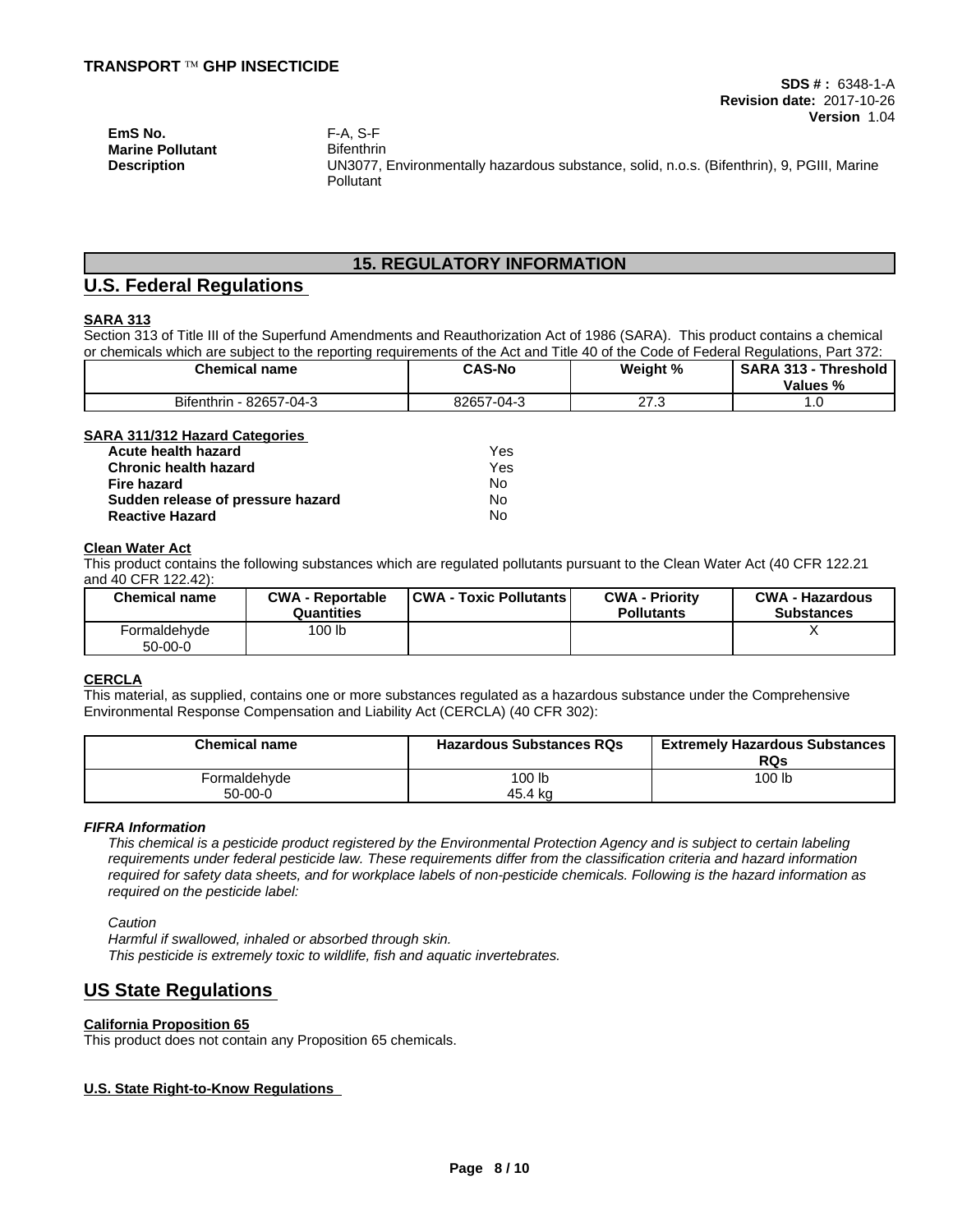**Description** UN3077, Environmentally hazardous substance, solid, n.o.s. (Bifenthrin), 9, PGIII, Marine **Pollutant** 

## **15. REGULATORY INFORMATION**

# **U.S. Federal Regulations**

## **SARA 313**

Section 313 of Title III of the Superfund Amendments and Reauthorization Act of 1986 (SARA). This product contains a chemical or chemicals which are subject to the reporting requirements of the Act and Title 40 of the Code of Federal Regulations, Part 372:

| <b>Chemical name</b>               | <b>CAS-No</b> | Weight %   | <b>SARA 313</b><br><b>Threshold</b><br>Values % |
|------------------------------------|---------------|------------|-------------------------------------------------|
| <b>Bifenthrin</b><br>82657-04-3- ا | 82657-04-3    | ົ<br>ں ، ے | . .                                             |

| <b>SARA 311/312 Hazard Categories</b> |  |
|---------------------------------------|--|
|                                       |  |

| Acute health hazard               | Yes |
|-----------------------------------|-----|
| <b>Chronic health hazard</b>      | Yes |
| Fire hazard                       | N٥  |
| Sudden release of pressure hazard | N٥  |
| <b>Reactive Hazard</b>            | No  |

#### **Clean Water Act**

This product contains the following substances which are regulated pollutants pursuant to the Clean Water Act (40 CFR 122.21 and 40 CFR 122.42):

| <b>Chemical name</b>      | <b>CWA - Reportable</b><br><b>Quantities</b> | <b>CWA - Toxic Pollutants</b> | <b>CWA - Priority</b><br><b>Pollutants</b> | <b>CWA - Hazardous</b><br><b>Substances</b> |
|---------------------------|----------------------------------------------|-------------------------------|--------------------------------------------|---------------------------------------------|
| Formaldehyde<br>$50-00-0$ | 100 lb                                       |                               |                                            |                                             |

## **CERCLA**

This material, as supplied, contains one or more substances regulated as a hazardous substance under the Comprehensive Environmental Response Compensation and Liability Act (CERCLA) (40 CFR 302):

| <b>Chemical name</b>     | <b>Hazardous Substances RQs</b> | <b>Extremely Hazardous Substances</b><br>RQs |
|--------------------------|---------------------------------|----------------------------------------------|
| <sup>⊏</sup> ormaldehvde | 100 lb                          | 100 lb                                       |
| $50-00-0$                | 45.4 kg                         |                                              |

#### *FIFRA Information*

This chemical is a pesticide product registered by the Environmental Protection Agency and is subject to certain labeling requirements under federal pesticide law. These requirements differ from the classification criteria and hazard information required for safety data sheets, and for workplace labels of non-pesticide chemicals. Following is the hazard information as *required on the pesticide label:*

*Caution*

*Harmful if swallowed, inhaled or absorbed through skin. This pesticide is extremely toxic to wildlife, fish and aquatic invertebrates.*

# **US State Regulations**

### **California Proposition 65**

This product does not contain any Proposition 65 chemicals.

### **U.S. State Right-to-Know Regulations**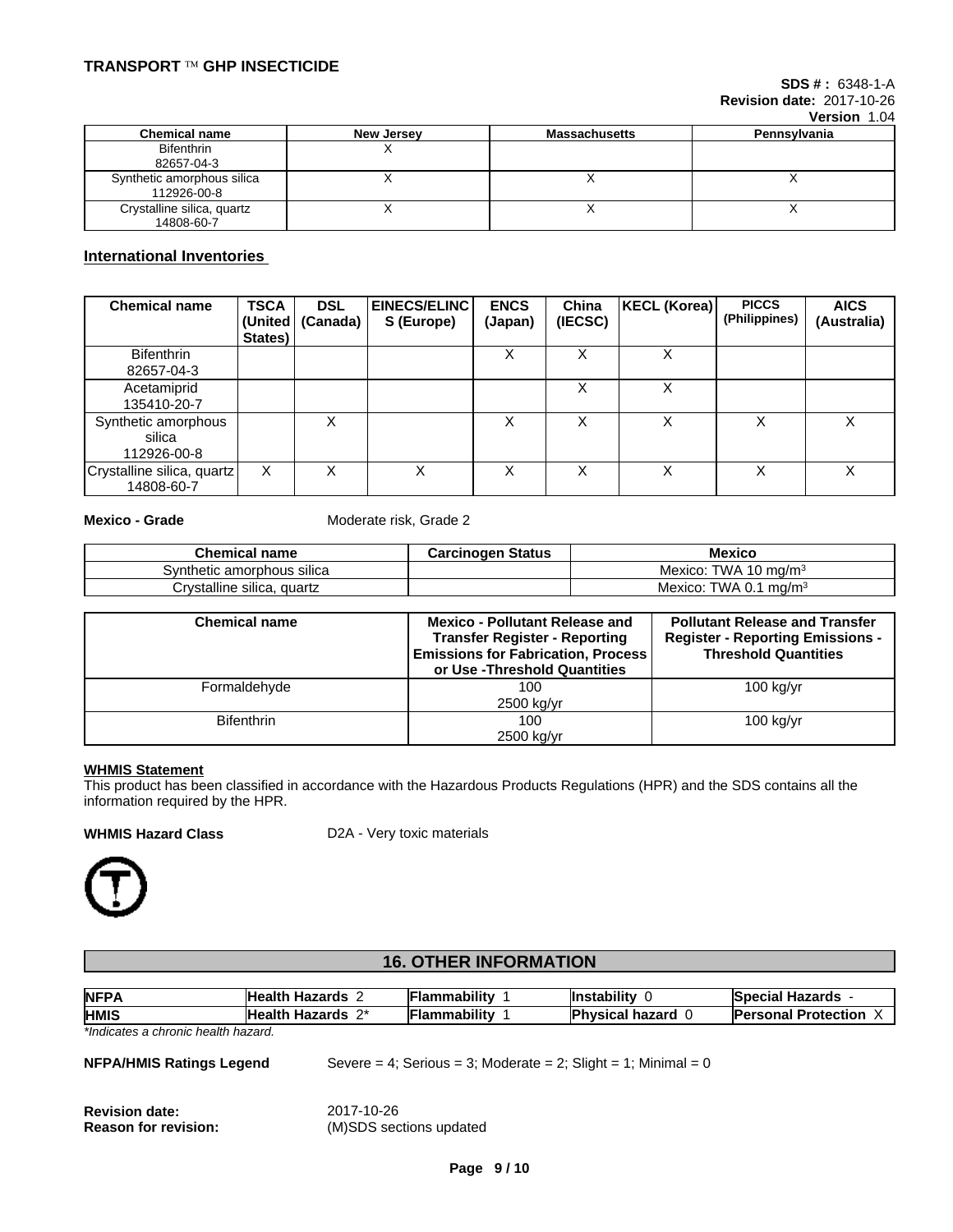| Version 1.04 |
|--------------|
| Pennsylvania |

|                                           | ------     |                      |              |  |  |
|-------------------------------------------|------------|----------------------|--------------|--|--|
| <b>Chemical name</b>                      | New Jersey | <b>Massachusetts</b> | Pennsylvania |  |  |
| <b>Bifenthrin</b><br>82657-04-3           |            |                      |              |  |  |
| Synthetic amorphous silica<br>112926-00-8 |            |                      |              |  |  |
| Crystalline silica, quartz<br>14808-60-7  |            |                      | $\lambda$    |  |  |

## **International Inventories**

| <b>Chemical name</b>                         | <b>TSCA</b><br>States) | <b>DSL</b><br>(United   (Canada) | <b>EINECS/ELINC</b><br>S (Europe) | <b>ENCS</b><br>(Japan) | China<br>(IECSC) | KECL (Korea) | <b>PICCS</b><br>(Philippines) | <b>AICS</b><br>(Australia) |
|----------------------------------------------|------------------------|----------------------------------|-----------------------------------|------------------------|------------------|--------------|-------------------------------|----------------------------|
| <b>Bifenthrin</b><br>82657-04-3              |                        |                                  |                                   | ∧                      |                  | ⋏            |                               |                            |
| Acetamiprid<br>135410-20-7                   |                        |                                  |                                   |                        |                  | Χ            |                               |                            |
| Synthetic amorphous<br>silica<br>112926-00-8 |                        | х                                |                                   | ⋏                      |                  | x            |                               | х                          |
| Crystalline silica, quartz<br>14808-60-7     | x                      | х                                | х                                 | ∧                      |                  | v<br>⋏       |                               | x                          |

**Mexico - Grade** Moderate risk, Grade 2

| <b>Chemical name</b>                     | <b>Carcinogen Status</b> | <b>Mexico</b>                          |
|------------------------------------------|--------------------------|----------------------------------------|
| <br>Svnthetic amorphous silica           |                          | Mexico:<br><b>TWA 10</b><br>≀ ma/m≊    |
| <br>Crystalline silica, $\sim$<br>quartz |                          | TWA 0.<br>ma/m <sup>3</sup><br>Mexico: |

| <b>Chemical name</b> | <b>Mexico - Pollutant Release and</b><br><b>Transfer Register - Reporting</b><br><b>Emissions for Fabrication, Process</b><br>or Use -Threshold Quantities | <b>Pollutant Release and Transfer</b><br><b>Register - Reporting Emissions -</b><br><b>Threshold Quantities</b> |
|----------------------|------------------------------------------------------------------------------------------------------------------------------------------------------------|-----------------------------------------------------------------------------------------------------------------|
| Formaldehyde         | 100                                                                                                                                                        | $100$ kg/yr                                                                                                     |
|                      | 2500 kg/yr                                                                                                                                                 |                                                                                                                 |
| <b>Bifenthrin</b>    | 100                                                                                                                                                        | $100$ kg/yr                                                                                                     |
|                      | 2500 kg/yr                                                                                                                                                 |                                                                                                                 |

## **WHMIS Statement**

This product has been classified in accordance with the Hazardous Products Regulations (HPR) and the SDS contains all the information required by the HPR.

**WHMIS Hazard Class** D2A - Very toxic materials



# **16. OTHER INFORMATION**

| NFP/<br>- -                        | <b>Health</b><br>.<br>Hazards            | .<br><b>Flammability</b> | <b>Instability</b>                   | al Hazards<br>Snacial<br>есын -      |
|------------------------------------|------------------------------------------|--------------------------|--------------------------------------|--------------------------------------|
| <b>HMIS</b>                        | <b>Health</b><br>$\mathbf{a}$<br>Hazards | <br>⊩Flammabilit∨        | <b>Physical</b><br>hazard<br>$\cdot$ | <b>Protection</b><br><b>Personal</b> |
| *Indicator a abranic hoolth bozard |                                          |                          |                                      |                                      |

*\*Indicates a chronic health hazard.*

| <b>NFPA/HMIS Ratings Legend</b> | Severe = 4; Serious = 3; Moderate = 2; Slight = 1; Minimal = 0 |
|---------------------------------|----------------------------------------------------------------|
| <b>Revision date:</b>           | 2017-10-26                                                     |
| <b>Reason for revision:</b>     | (M)SDS sections updated                                        |